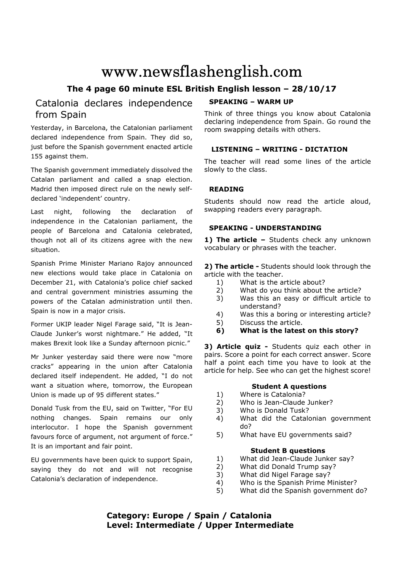# www.newsflashenglish.com

# **The 4 page 60 minute ESL British English lesson – 28/10/17**

# Catalonia declares independence from Spain

Yesterday, in Barcelona, the Catalonian parliament declared independence from Spain. They did so, just before the Spanish government enacted article 155 against them.

The Spanish government immediately dissolved the Catalan parliament and called a snap election. Madrid then imposed direct rule on the newly selfdeclared 'independent' country.

Last night, following the declaration of independence in the Catalonian parliament, the people of Barcelona and Catalonia celebrated, though not all of its citizens agree with the new situation.

Spanish Prime Minister Mariano Rajoy announced new elections would take place in Catalonia on December 21, with Catalonia's police chief sacked and central government ministries assuming the powers of the Catalan administration until then. Spain is now in a major crisis.

Former UKIP leader Nigel Farage said, "It is Jean-Claude Junker's worst nightmare." He added, "It makes Brexit look like a Sunday afternoon picnic."

Mr Junker yesterday said there were now "more cracks" appearing in the union after Catalonia declared itself independent. He added, "I do not want a situation where, tomorrow, the European Union is made up of 95 different states."

Donald Tusk from the EU, said on Twitter, "For EU nothing changes. Spain remains our only interlocutor. I hope the Spanish government favours force of argument, not argument of force." It is an important and fair point.

EU governments have been quick to support Spain, saying they do not and will not recognise Catalonia's declaration of independence.

# **SPEAKING – WARM UP**

Think of three things you know about Catalonia declaring independence from Spain. Go round the room swapping details with others.

# **LISTENING – WRITING - DICTATION**

The teacher will read some lines of the article slowly to the class.

# **READING**

Students should now read the article aloud, swapping readers every paragraph.

# **SPEAKING - UNDERSTANDING**

1) The article - Students check any unknown vocabulary or phrases with the teacher.

**2) The article -** Students should look through the article with the teacher.

- 1) What is the article about?
- 2) What do you think about the article?
- 3) Was this an easy or difficult article to understand?
- 4) Was this a boring or interesting article?
- 5) Discuss the article.
- **6) What is the latest on this story?**

**3) Article quiz -** Students quiz each other in pairs. Score a point for each correct answer. Score half a point each time you have to look at the article for help. See who can get the highest score!

#### **Student A questions**

- 1) Where is Catalonia?
- 2) Who is Jean-Claude Junker?
- 3) Who is Donald Tusk?
- 4) What did the Catalonian government do?
- 5) What have EU governments said?

### **Student B questions**

- 1) What did Jean-Claude Junker say?
- 2) What did Donald Trump say?
- 3) What did Nigel Farage say?
- 4) Who is the Spanish Prime Minister?
- 5) What did the Spanish government do?

# **Category: Europe / Spain / Catalonia Level: Intermediate / Upper Intermediate**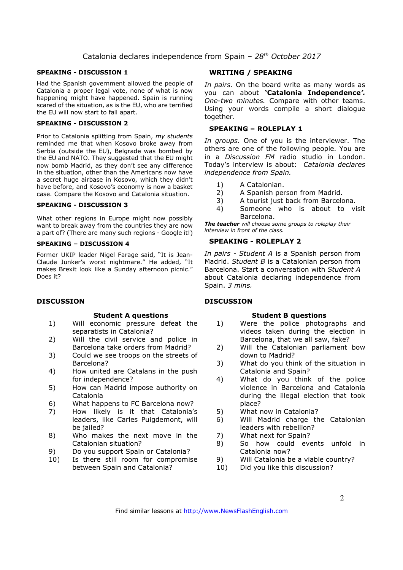#### **SPEAKING - DISCUSSION 1**

Had the Spanish government allowed the people of Catalonia a proper legal vote, none of what is now happening might have happened. Spain is running scared of the situation, as is the EU, who are terrified the EU will now start to fall apart.

#### **SPEAKING - DISCUSSION 2**

Prior to Catalonia splitting from Spain, *my students*  reminded me that when Kosovo broke away from Serbia (outside the EU), Belgrade was bombed by the EU and NATO. They suggested that the EU might now bomb Madrid, as they don't see any difference in the situation, other than the Americans now have a secret huge airbase in Kosovo, which they didn't have before, and Kosovo's economy is now a basket case. Compare the Kosovo and Catalonia situation.

#### **SPEAKING - DISCUSSION 3**

What other regions in Europe might now possibly want to break away from the countries they are now a part of? (There are many such regions - Google it!)

#### **SPEAKING – DISCUSSION 4**

Former UKIP leader Nigel Farage said, "It is Jean-Claude Junker's worst nightmare." He added, "It makes Brexit look like a Sunday afternoon picnic." Does it?

#### **DISCUSSION**

#### **Student A questions**

- 1) Will economic pressure defeat the separatists in Catalonia?
- 2) Will the civil service and police in Barcelona take orders from Madrid?
- 3) Could we see troops on the streets of Barcelona?
- 4) How united are Catalans in the push for independence?
- 5) How can Madrid impose authority on Catalonia
- 6) What happens to FC Barcelona now?
- 7) How likely is it that Catalonia's leaders, like Carles Puigdemont, will be jailed?
- 8) Who makes the next move in the Catalonian situation?
- 9) Do you support Spain or Catalonia?
- 10) Is there still room for compromise between Spain and Catalonia?

#### **WRITING / SPEAKING**

*In pairs.* On the board write as many words as you can about **'Catalonia Independence***'. One-two minutes.* Compare with other teams. Using your words compile a short dialogue together.

#### **SPEAKING – ROLEPLAY 1**

*In groups.* One of you is the interviewer. The others are one of the following people. You are in a *Discussion FM* radio studio in London. Today's interview is about: *Catalonia declares independence from Spain.* 

- 1) A Catalonian.
- 2) A Spanish person from Madrid.
- 3) A tourist just back from Barcelona.
- 4) Someone who is about to visit Barcelona.

*The teacher will choose some groups to roleplay their interview in front of the class.* 

#### **SPEAKING - ROLEPLAY 2**

*In pairs - Student A* is a Spanish person from Madrid. *Student B* is a Catalonian person from Barcelona. Start a conversation with *Student A* about Catalonia declaring independence from Spain. *3 mins.* 

#### **DISCUSSION**

#### **Student B questions**

- 1) Were the police photographs and videos taken during the election in Barcelona, that we all saw, fake?
- 2) Will the Catalonian parliament bow down to Madrid?
- 3) What do you think of the situation in Catalonia and Spain?
- 4) What do you think of the police violence in Barcelona and Catalonia during the illegal election that took place?
- 5) What now in Catalonia?
- 6) Will Madrid charge the Catalonian leaders with rebellion?
- 7) What next for Spain?
- 8) So how could events unfold in Catalonia now?
- 9) Will Catalonia be a viable country?
- 10) Did you like this discussion?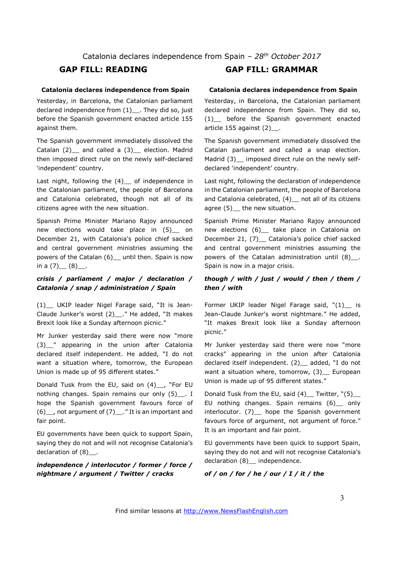#### **Catalonia declares independence from Spain**

Yesterday, in Barcelona, the Catalonian parliament declared independence from (1) . They did so, just before the Spanish government enacted article 155 against them.

The Spanish government immediately dissolved the Catalan (2) and called a (3) election. Madrid then imposed direct rule on the newly self-declared 'independent' country.

Last night, following the  $(4)$  of independence in the Catalonian parliament, the people of Barcelona and Catalonia celebrated, though not all of its citizens agree with the new situation.

Spanish Prime Minister Mariano Rajoy announced new elections would take place in (5) on December 21, with Catalonia's police chief sacked and central government ministries assuming the powers of the Catalan (6) \_ until then. Spain is now in a  $(7)$   $(8)$ .

### *crisis / parliament / major / declaration / Catalonia / snap / administration / Spain*

(1)\_\_ UKIP leader Nigel Farage said, "It is Jean-Claude Junker's worst (2)\_\_." He added, "It makes Brexit look like a Sunday afternoon picnic."

Mr Junker yesterday said there were now "more (3) " appearing in the union after Catalonia declared itself independent. He added, "I do not want a situation where, tomorrow, the European Union is made up of 95 different states."

Donald Tusk from the EU, said on (4)\_\_, "For EU nothing changes. Spain remains our only (5)\_\_\_. I hope the Spanish government favours force of  $(6)$ , not argument of  $(7)$ . "It is an important and fair point.

EU governments have been quick to support Spain, saying they do not and will not recognise Catalonia's declaration of (8) .

### *independence / interlocutor / former / force / nightmare / argument / Twitter / cracks*

# **GAP FILL: READING GAP FILL: GRAMMAR**

#### **Catalonia declares independence from Spain**

Yesterday, in Barcelona, the Catalonian parliament declared independence from Spain. They did so, (1)\_\_ before the Spanish government enacted article 155 against (2)\_.

The Spanish government immediately dissolved the Catalan parliament and called a snap election. Madrid (3) imposed direct rule on the newly selfdeclared 'independent' country.

Last night, following the declaration of independence in the Catalonian parliament, the people of Barcelona and Catalonia celebrated, (4) not all of its citizens agree (5) the new situation.

Spanish Prime Minister Mariano Rajoy announced new elections (6) take place in Catalonia on December 21, (7) Catalonia's police chief sacked and central government ministries assuming the powers of the Catalan administration until (8)\_\_. Spain is now in a major crisis.

#### *though / with / just / would / then / them / then / with*

Former UKIP leader Nigel Farage said, "(1) is Jean-Claude Junker's worst nightmare." He added, "It makes Brexit look like a Sunday afternoon picnic."

Mr Junker yesterday said there were now "more cracks" appearing in the union after Catalonia declared itself independent. (2) \_ added, "I do not want a situation where, tomorrow, (3) European Union is made up of 95 different states."

Donald Tusk from the EU, said  $(4)$  Twitter,  $"(5)$ EU nothing changes. Spain remains (6)\_\_ only interlocutor. (7) hope the Spanish government favours force of argument, not argument of force." It is an important and fair point.

EU governments have been quick to support Spain, saying they do not and will not recognise Catalonia's declaration (8) independence.

*of / on / for / he / our / I / it / the*